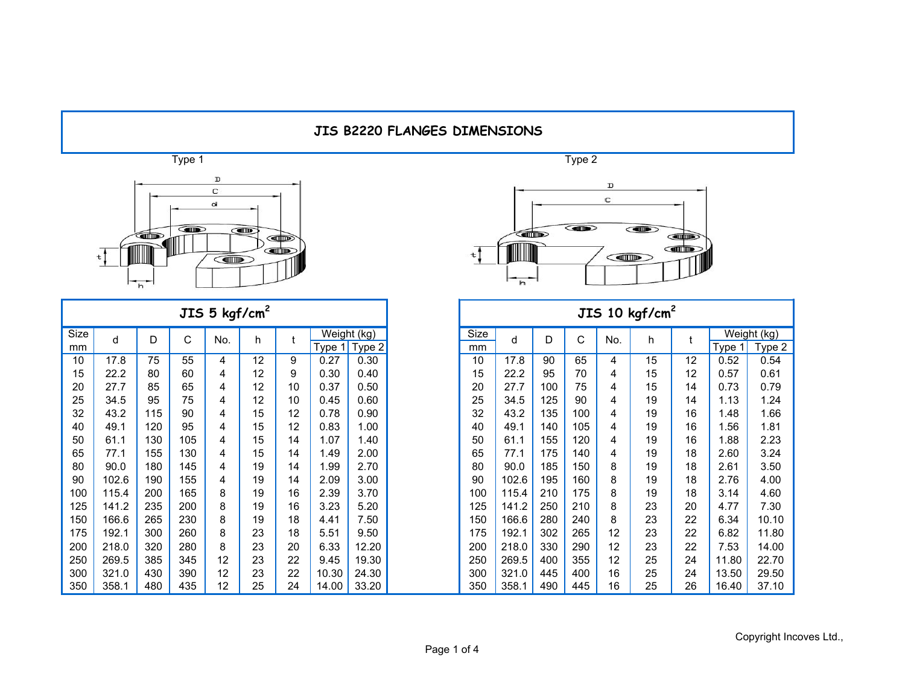

|      |       |     |     | JIS $5$ kgf/cm <sup>2</sup> |    |    |        |             |      |       |     |     |     | JIS 10 $\text{kgf/cm}^2$ |    |             |  |
|------|-------|-----|-----|-----------------------------|----|----|--------|-------------|------|-------|-----|-----|-----|--------------------------|----|-------------|--|
| Size | d     | D   | С   | No.                         | h  |    |        | Weight (kg) | Size | d     | D   | C   | No. | h.                       |    | Weight (kg) |  |
| mm   |       |     |     |                             |    |    | Type 1 | Type 2      | mm   |       |     |     |     |                          |    | Type 1      |  |
| 10   | 17.8  | 75  | 55  | 4                           | 12 | 9  | 0.27   | 0.30        | 10   | 17.8  | 90  | 65  | 4   | 15                       | 12 | 0.52        |  |
| 15   | 22.2  | 80  | 60  | 4                           | 12 | 9  | 0.30   | 0.40        | 15   | 22.2  | 95  | 70  | 4   | 15                       | 12 | 0.57        |  |
| 20   | 27.7  | 85  | 65  | 4                           | 12 | 10 | 0.37   | 0.50        | 20   | 27.7  | 100 | 75  | 4   | 15                       | 14 | 0.73        |  |
| 25   | 34.5  | 95  | 75  | 4                           | 12 | 10 | 0.45   | 0.60        | 25   | 34.5  | 125 | 90  | 4   | 19                       | 14 | 1.13        |  |
| 32   | 43.2  | 115 | 90  | 4                           | 15 | 12 | 0.78   | 0.90        | 32   | 43.2  | 135 | 100 | 4   | 19                       | 16 | 1.48        |  |
| 40   | 49.1  | 120 | 95  | 4                           | 15 | 12 | 0.83   | 1.00        | 40   | 49.1  | 140 | 105 | 4   | 19                       | 16 | 1.56        |  |
| 50   | 61.1  | 130 | 105 | 4                           | 15 | 14 | 1.07   | 1.40        | 50   | 61.1  | 155 | 120 | 4   | 19                       | 16 | 1.88        |  |
| 65   | 77.1  | 155 | 130 | 4                           | 15 | 14 | 1.49   | 2.00        | 65   | 77.1  | 175 | 140 | 4   | 19                       | 18 | 2.60        |  |
| 80   | 90.0  | 180 | 145 | 4                           | 19 | 14 | 1.99   | 2.70        | 80   | 90.0  | 185 | 150 | 8   | 19                       | 18 | 2.61        |  |
| 90   | 102.6 | 190 | 155 | 4                           | 19 | 14 | 2.09   | 3.00        | 90   | 102.6 | 195 | 160 | 8   | 19                       | 18 | 2.76        |  |
| 100  | 115.4 | 200 | 165 | 8                           | 19 | 16 | 2.39   | 3.70        | 100  | 115.4 | 210 | 175 | 8   | 19                       | 18 | 3.14        |  |
| 125  | 141.2 | 235 | 200 | 8                           | 19 | 16 | 3.23   | 5.20        | 125  | 141.2 | 250 | 210 | 8   | 23                       | 20 | 4.77        |  |
| 150  | 166.6 | 265 | 230 | 8                           | 19 | 18 | 4.41   | 7.50        | 150  | 166.6 | 280 | 240 | 8   | 23                       | 22 | 6.34        |  |
| 175  | 192.1 | 300 | 260 | 8                           | 23 | 18 | 5.51   | 9.50        | 175  | 192.1 | 302 | 265 | 12  | 23                       | 22 | 6.82        |  |
| 200  | 218.0 | 320 | 280 | 8                           | 23 | 20 | 6.33   | 12.20       | 200  | 218.0 | 330 | 290 | 12  | 23                       | 22 | 7.53        |  |
| 250  | 269.5 | 385 | 345 | 12                          | 23 | 22 | 9.45   | 19.30       | 250  | 269.5 | 400 | 355 | 12  | 25                       | 24 | 11.80       |  |
| 300  | 321.0 | 430 | 390 | 12                          | 23 | 22 | 10.30  | 24.30       | 300  | 321.0 | 445 | 400 | 16  | 25                       | 24 | 13.50       |  |
| 350  | 358.1 | 480 | 435 | 12                          | 25 | 24 | 14.00  | 33.20       | 350  | 358.1 | 490 | 445 | 16  | 25                       | 26 | 16.40       |  |



|            |       |     |     | JIS 5 $kgf/cm2$ |    |    |                       |        |            |       |     |     |     | JIS 10 $\text{kgf/cm}^2$ |    |       |                       |
|------------|-------|-----|-----|-----------------|----|----|-----------------------|--------|------------|-------|-----|-----|-----|--------------------------|----|-------|-----------------------|
| Size<br>mm | d     | D   | С   | No.             | h  |    | Weight (kg)<br>Type 1 | Type 2 | Size<br>mm | d     | D   | C   | No. | h.                       |    | Type  | Weight (kg)<br>Type 2 |
| 10         | 17.8  | 75  | 55  | 4               | 12 | 9  | 0.27                  | 0.30   | 10         | 17.8  | 90  | 65  | 4   | 15                       | 12 | 0.52  | 0.54                  |
| 15         | 22.2  | 80  | 60  | 4               | 12 | 9  | 0.30                  | 0.40   | 15         | 22.2  | 95  | 70  | 4   | 15                       | 12 | 0.57  | 0.61                  |
| 20         | 27.7  | 85  | 65  | 4               | 12 | 10 | 0.37                  | 0.50   | 20         | 27.7  | 100 | 75  | 4   | 15                       | 14 | 0.73  | 0.79                  |
| 25         | 34.5  | 95  | 75  | 4               | 12 | 10 | 0.45                  | 0.60   | 25         | 34.5  | 125 | 90  | 4   | 19                       | 14 | 1.13  | 1.24                  |
| 32         | 43.2  | 115 | 90  | 4               | 15 | 12 | 0.78                  | 0.90   | 32         | 43.2  | 135 | 100 | 4   | 19                       | 16 | 1.48  | 1.66                  |
| 40         | 49.1  | 120 | 95  | 4               | 15 | 12 | 0.83                  | 1.00   | 40         | 49.1  | 140 | 105 | 4   | 19                       | 16 | 1.56  | 1.81                  |
| 50         | 61.1  | 130 | 105 | 4               | 15 | 14 | 1.07                  | 1.40   | 50         | 61.1  | 155 | 120 | 4   | 19                       | 16 | 1.88  | 2.23                  |
| 65         | 77.1  | 155 | 130 | 4               | 15 | 14 | 1.49                  | 2.00   | 65         | 77.1  | 175 | 140 | 4   | 19                       | 18 | 2.60  | 3.24                  |
| 80         | 90.0  | 180 | 145 | 4               | 19 | 14 | 1.99                  | 2.70   | 80         | 90.0  | 185 | 150 | 8   | 19                       | 18 | 2.61  | 3.50                  |
| 90         | 102.6 | 190 | 155 | 4               | 19 | 14 | 2.09                  | 3.00   | 90         | 102.6 | 195 | 160 | 8   | 19                       | 18 | 2.76  | 4.00                  |
| 100        | 115.4 | 200 | 165 | 8               | 19 | 16 | 2.39                  | 3.70   | 100        | 115.4 | 210 | 175 | 8   | 19                       | 18 | 3.14  | 4.60                  |
| 125        | 141.2 | 235 | 200 | 8               | 19 | 16 | 3.23                  | 5.20   | 125        | 141.2 | 250 | 210 | 8   | 23                       | 20 | 4.77  | 7.30                  |
| 150        | 166.6 | 265 | 230 | 8               | 19 | 18 | 4.41                  | 7.50   | 150        | 166.6 | 280 | 240 | 8   | 23                       | 22 | 6.34  | 10.10                 |
| 175        | 192.1 | 300 | 260 | 8               | 23 | 18 | 5.51                  | 9.50   | 175        | 192.1 | 302 | 265 | 12  | 23                       | 22 | 6.82  | 11.80                 |
| 200        | 218.0 | 320 | 280 | 8               | 23 | 20 | 6.33                  | 12.20  | 200        | 218.0 | 330 | 290 | 12  | 23                       | 22 | 7.53  | 14.00                 |
| 250        | 269.5 | 385 | 345 | 12              | 23 | 22 | 9.45                  | 19.30  | 250        | 269.5 | 400 | 355 | 12  | 25                       | 24 | 11.80 | 22.70                 |
| 300        | 321.0 | 430 | 390 | 12              | 23 | 22 | 10.30                 | 24.30  | 300        | 321.0 | 445 | 400 | 16  | 25                       | 24 | 13.50 | 29.50                 |
| 350        | 358.1 | 480 | 435 | 12              | 25 | 24 | 14.00                 | 33.20  | 350        | 358.1 | 490 | 445 | 16  | 25                       | 26 | 16.40 | 37.10                 |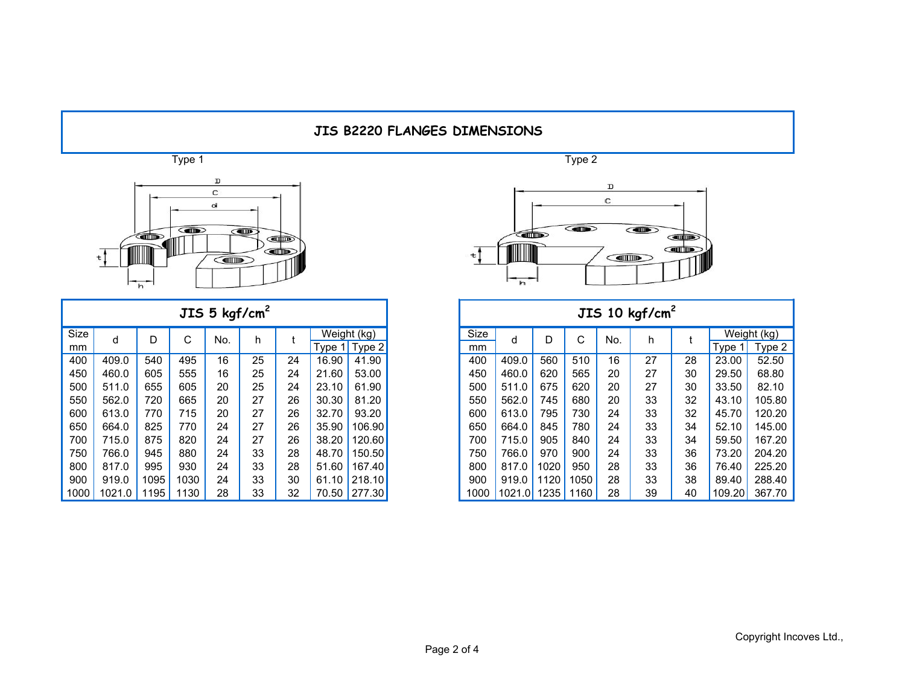

|      |        |      |      | JIS 5 $kgf/cm2$ |    |    |       |                 |
|------|--------|------|------|-----------------|----|----|-------|-----------------|
| Size | d      | D    | C    | No.             | h  |    |       | Weight (kg)     |
| mm   |        |      |      |                 |    |    |       | Type $1$ Type 2 |
| 400  | 409.0  | 540  | 495  | 16              | 25 | 24 | 16.90 | 41.90           |
| 450  | 460.0  | 605  | 555  | 16              | 25 | 24 | 21.60 | 53.00           |
| 500  | 511.0  | 655  | 605  | 20              | 25 | 24 | 23.10 | 61.90           |
| 550  | 562.0  | 720  | 665  | 20              | 27 | 26 | 30.30 | 81.20           |
| 600  | 613.0  | 770  | 715  | 20              | 27 | 26 | 32.70 | 93.20           |
| 650  | 664.0  | 825  | 770  | 24              | 27 | 26 | 35.90 | 106.90          |
| 700  | 715.0  | 875  | 820  | 24              | 27 | 26 | 38.20 | 120.60          |
| 750  | 766.0  | 945  | 880  | 24              | 33 | 28 | 48.70 | 150.50          |
| 800  | 817.0  | 995  | 930  | 24              | 33 | 28 | 51.60 | 167.40          |
| 900  | 919.0  | 1095 | 1030 | 24              | 33 | 30 |       | 61.10 218.10    |
| 1000 | 1021.0 | 1195 | 1130 | 28              | 33 | 32 |       | 70.50 277.30    |



|      |        |      |      | JIS 5 $kgf/cm2$ |    |    |       |                   |      |        |      |      |     | JIS 10 $\text{kgf/cm}^2$ |    |        |             |
|------|--------|------|------|-----------------|----|----|-------|-------------------|------|--------|------|------|-----|--------------------------|----|--------|-------------|
| Size | d      | D    | ⌒    | No.             | h. |    |       | Weight (kg)       | Size | d      | D    | C    | No. | h                        |    |        | Weight (kg) |
| mm   |        |      | ◡    |                 |    |    |       | Type $1$ Type $2$ | mm   |        |      |      |     |                          |    | Type 1 | Type 2      |
| 400  | 409.0  | 540  | 495  | 16              | 25 | 24 | 16.90 | 41.90             | 400  | 409.0  | 560  | 510  | 16  | 27                       | 28 | 23.00  | 52.50       |
| 450  | 460.0  | 605  | 555  | 16              | 25 | 24 | 21.60 | 53.00             | 450  | 460.0  | 620  | 565  | 20  | 27                       | 30 | 29.50  | 68.80       |
| 500  | 511.0  | 655  | 605  | 20              | 25 | 24 | 23.10 | 61.90             | 500  | 511.0  | 675  | 620  | 20  | 27                       | 30 | 33.50  | 82.10       |
| 550  | 562.0  | 720  | 665  | 20              | 27 | 26 | 30.30 | 81.20             | 550  | 562.0  | 745  | 680  | 20  | 33                       | 32 | 43.10  | 105.80      |
| 600  | 613.0  | 770  | 715  | 20              | 27 | 26 | 32.70 | 93.20             | 600  | 613.0  | 795  | 730  | 24  | 33                       | 32 | 45.70  | 120.20      |
| 650  | 664.0  | 825  | 770  | 24              | 27 | 26 | 35.90 | 106.90            | 650  | 664.0  | 845  | 780  | 24  | 33                       | 34 | 52.10  | 145.00      |
| 700  | 715.0  | 875  | 820  | 24              | 27 | 26 | 38.20 | 120.60            | 700  | 715.0  | 905  | 840  | 24  | 33                       | 34 | 59.50  | 167.20      |
| 750  | 766.0  | 945  | 880  | 24              | 33 | 28 | 48.70 | 150.50            | 750  | 766.0  | 970  | 900  | 24  | 33                       | 36 | 73.20  | 204.20      |
| 800  | 817.0  | 995  | 930  | 24              | 33 | 28 | 51.60 | 167.40            | 800  | 817.0  | 1020 | 950  | 28  | 33                       | 36 | 76.40  | 225.20      |
| 900  | 919.0  | 1095 | 1030 | 24              | 33 | 30 | 61.10 | 218.10            | 900  | 919.0  | 1120 | 1050 | 28  | 33                       | 38 | 89.40  | 288.40      |
| 000  | 1021.0 | 1195 | 1130 | 28              | 33 | 32 |       | 70.50 277.30      | 1000 | 1021.0 | 1235 | 1160 | 28  | 39                       | 40 | 109.20 | 367.70      |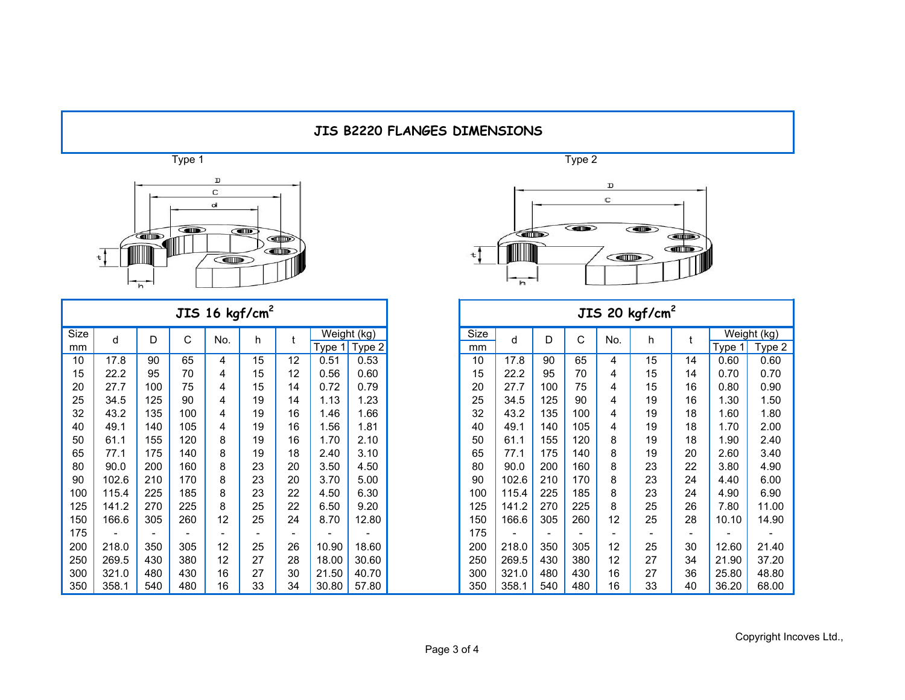

|            |       |     |     |     | JIS 16 $kgf/cm2$         |    |       |                                |
|------------|-------|-----|-----|-----|--------------------------|----|-------|--------------------------------|
| Size<br>mm | d     | D   | C   | No. | h.                       |    |       | Weight (kg)<br>Type $1$ Type 2 |
| 10         | 17.8  | 90  | 65  | 4   | 15                       | 12 | 0.51  | 0.53                           |
| 15         | 22.2  | 95  | 70  | 4   | 15                       | 12 | 0.56  | 0.60                           |
| 20         | 27.7  | 100 | 75  | 4   | 15                       | 14 | 0.72  | 0.79                           |
| 25         | 34.5  | 125 | 90  | 4   | 19                       | 14 | 1.13  | 1.23                           |
| 32         | 43.2  | 135 | 100 | 4   | 19                       | 16 | 1.46  | .66                            |
| 40         | 49.1  | 140 | 105 | 4   | 19                       | 16 | 1.56  | 1.81                           |
| 50         | 61.1  | 155 | 120 | 8   | 19                       | 16 | 1.70  | 2.10                           |
| 65         | 77.1  | 175 | 140 | 8   | 19                       | 18 | 2.40  | 3.10                           |
| 80         | 90.0  | 200 | 160 | 8   | 23                       | 20 | 3.50  | 4.50                           |
| 90         | 102.6 | 210 | 170 | 8   | 23                       | 20 | 3.70  | 5.00                           |
| 100        | 115.4 | 225 | 185 | 8   | 23                       | 22 | 4.50  | 6.30                           |
| 125        | 141.2 | 270 | 225 | 8   | 25                       | 22 | 6.50  | 9.20                           |
| 150        | 166.6 | 305 | 260 | 12  | 25                       | 24 | 8.70  | 12.80                          |
| 175        |       |     |     |     | $\overline{\phantom{0}}$ |    |       |                                |
| 200        | 218.0 | 350 | 305 | 12  | 25                       | 26 | 10.90 | 18.60                          |
| 250        | 269.5 | 430 | 380 | 12  | 27                       | 28 | 18.00 | 30.60                          |
| 300        | 321.0 | 480 | 430 | 16  | 27                       | 30 | 21.50 | 40.70                          |
| 350        | 358.1 | 540 | 480 | 16  | 33                       | 34 | 30.80 | 57.80                          |



|            |       |     |     | JIS 16 $kgf/cm2$ |    |    |                         |        |            |       |     |     |     | JIS 20 $kgf/cm2$ |                          |          |                       |
|------------|-------|-----|-----|------------------|----|----|-------------------------|--------|------------|-------|-----|-----|-----|------------------|--------------------------|----------|-----------------------|
| Size<br>mm | d     | D   | С   | No.              | h. |    | Weight (kg)<br>Type $1$ | Type 2 | Size<br>mm | d     | D   | С   | No. | h                |                          | Type $1$ | Weight (kg)<br>Type 2 |
| 10         | 17.8  | 90  | 65  | 4                | 15 | 12 | 0.51                    | 0.53   | 10         | 17.8  | 90  | 65  | 4   | 15               | 14                       | 0.60     | 0.60                  |
| 15         | 22.2  | 95  | 70  | 4                | 15 | 12 | 0.56                    | 0.60   | 15         | 22.2  | 95  | 70  | 4   | 15               | 14                       | 0.70     | 0.70                  |
| 20         | 27.7  | 100 | 75  | 4                | 15 | 14 | 0.72                    | 0.79   | 20         | 27.7  | 100 | 75  | 4   | 15               | 16                       | 0.80     | 0.90                  |
| 25         | 34.5  | 125 | 90  | 4                | 19 | 14 | 1.13                    | 1.23   | 25         | 34.5  | 125 | 90  | 4   | 19               | 16                       | 1.30     | 1.50                  |
| 32         | 43.2  | 135 | 100 | 4                | 19 | 16 | 1.46                    | 1.66   | 32         | 43.2  | 135 | 100 | 4   | 19               | 18                       | 1.60     | 1.80                  |
| 40         | 49.1  | 140 | 105 | 4                | 19 | 16 | 1.56                    | 1.81   | 40         | 49.1  | 140 | 105 | 4   | 19               | 18                       | 1.70     | 2.00                  |
| 50         | 61.1  | 155 | 120 | 8                | 19 | 16 | 1.70                    | 2.10   | 50         | 61.1  | 155 | 120 | 8   | 19               | 18                       | 1.90     | 2.40                  |
| 65         | 77.1  | 175 | 140 | 8                | 19 | 18 | 2.40                    | 3.10   | 65         | 77.1  | 175 | 140 | 8   | 19               | 20                       | 2.60     | 3.40                  |
| 80         | 90.0  | 200 | 160 | 8                | 23 | 20 | 3.50                    | 4.50   | 80         | 90.0  | 200 | 160 | 8   | 23               | 22                       | 3.80     | 4.90                  |
| 90         | 102.6 | 210 | 170 | 8                | 23 | 20 | 3.70                    | 5.00   | 90         | 102.6 | 210 | 170 | 8   | 23               | 24                       | 4.40     | 6.00                  |
| 100        | 115.4 | 225 | 185 | 8                | 23 | 22 | 4.50                    | 6.30   | 100        | 115.4 | 225 | 185 | 8   | 23               | 24                       | 4.90     | 6.90                  |
| 125        | 141.2 | 270 | 225 | 8                | 25 | 22 | 6.50                    | 9.20   | 125        | 141.2 | 270 | 225 | 8   | 25               | 26                       | 7.80     | 11.00                 |
| 150        | 166.6 | 305 | 260 | 12               | 25 | 24 | 8.70                    | 12.80  | 150        | 166.6 | 305 | 260 | 12  | 25               | 28                       | 10.10    | 14.90                 |
| 175        |       |     |     |                  |    |    |                         |        | 175        |       |     |     |     |                  | $\overline{\phantom{0}}$ |          |                       |
| 200        | 218.0 | 350 | 305 | 12               | 25 | 26 | 10.90                   | 18.60  | 200        | 218.0 | 350 | 305 | 12  | 25               | 30                       | 12.60    | 21.40                 |
| 250        | 269.5 | 430 | 380 | 12               | 27 | 28 | 18.00                   | 30.60  | 250        | 269.5 | 430 | 380 | 12  | 27               | 34                       | 21.90    | 37.20                 |
| 300        | 321.0 | 480 | 430 | 16               | 27 | 30 | 21.50                   | 40.70  | 300        | 321.0 | 480 | 430 | 16  | 27               | 36                       | 25.80    | 48.80                 |
| 350        | 358.1 | 540 | 480 | 16               | 33 | 34 | 30.80                   | 57.80  | 350        | 358.1 | 540 | 480 | 16  | 33               | 40                       | 36.20    | 68.00                 |